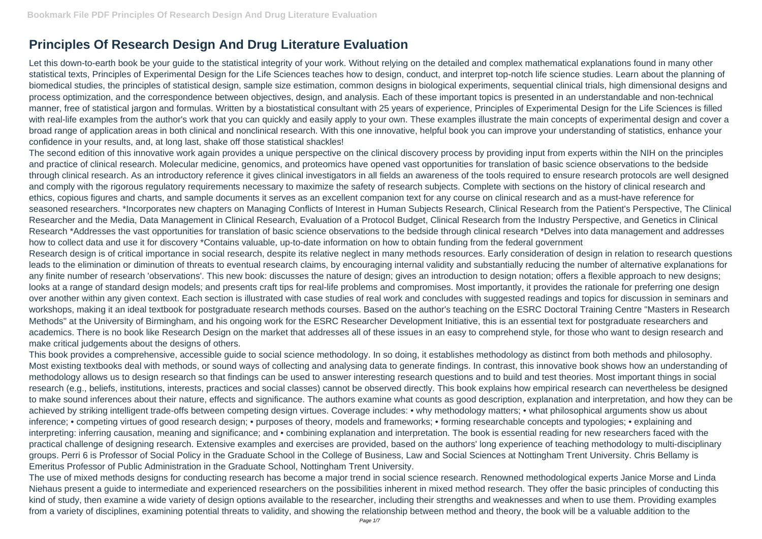## **Principles Of Research Design And Drug Literature Evaluation**

Let this down-to-earth book be your guide to the statistical integrity of your work. Without relying on the detailed and complex mathematical explanations found in many other statistical texts, Principles of Experimental Design for the Life Sciences teaches how to design, conduct, and interpret top-notch life science studies. Learn about the planning of biomedical studies, the principles of statistical design, sample size estimation, common designs in biological experiments, sequential clinical trials, high dimensional designs and process optimization, and the correspondence between objectives, design, and analysis. Each of these important topics is presented in an understandable and non-technical manner, free of statistical jargon and formulas. Written by a biostatistical consultant with 25 years of experience, Principles of Experimental Design for the Life Sciences is filled with real-life examples from the author's work that you can quickly and easily apply to your own. These examples illustrate the main concepts of experimental design and cover a broad range of application areas in both clinical and nonclinical research. With this one innovative, helpful book you can improve your understanding of statistics, enhance your confidence in your results, and, at long last, shake off those statistical shackles!

The second edition of this innovative work again provides a unique perspective on the clinical discovery process by providing input from experts within the NIH on the principles and practice of clinical research. Molecular medicine, genomics, and proteomics have opened vast opportunities for translation of basic science observations to the bedside through clinical research. As an introductory reference it gives clinical investigators in all fields an awareness of the tools required to ensure research protocols are well designed and comply with the rigorous regulatory requirements necessary to maximize the safety of research subjects. Complete with sections on the history of clinical research and ethics, copious figures and charts, and sample documents it serves as an excellent companion text for any course on clinical research and as a must-have reference for seasoned researchers. \*Incorporates new chapters on Managing Conflicts of Interest in Human Subjects Research, Clinical Research from the Patient's Perspective, The Clinical Researcher and the Media, Data Management in Clinical Research, Evaluation of a Protocol Budget, Clinical Research from the Industry Perspective, and Genetics in Clinical Research \*Addresses the vast opportunities for translation of basic science observations to the bedside through clinical research \*Delves into data management and addresses how to collect data and use it for discovery \*Contains valuable, up-to-date information on how to obtain funding from the federal government Research design is of critical importance in social research, despite its relative neglect in many methods resources. Early consideration of design in relation to research questions leads to the elimination or diminution of threats to eventual research claims, by encouraging internal validity and substantially reducing the number of alternative explanations for any finite number of research 'observations'. This new book: discusses the nature of design; gives an introduction to design notation; offers a flexible approach to new designs; looks at a range of standard design models; and presents craft tips for real-life problems and compromises. Most importantly, it provides the rationale for preferring one design over another within any given context. Each section is illustrated with case studies of real work and concludes with suggested readings and topics for discussion in seminars and workshops, making it an ideal textbook for postgraduate research methods courses. Based on the author's teaching on the ESRC Doctoral Training Centre "Masters in Research Methods" at the University of Birmingham, and his ongoing work for the ESRC Researcher Development Initiative, this is an essential text for postgraduate researchers and academics. There is no book like Research Design on the market that addresses all of these issues in an easy to comprehend style, for those who want to design research and make critical judgements about the designs of others.

This book provides a comprehensive, accessible guide to social science methodology. In so doing, it establishes methodology as distinct from both methods and philosophy. Most existing textbooks deal with methods, or sound ways of collecting and analysing data to generate findings. In contrast, this innovative book shows how an understanding of methodology allows us to design research so that findings can be used to answer interesting research questions and to build and test theories. Most important things in social research (e.g., beliefs, institutions, interests, practices and social classes) cannot be observed directly. This book explains how empirical research can nevertheless be designed to make sound inferences about their nature, effects and significance. The authors examine what counts as good description, explanation and interpretation, and how they can be achieved by striking intelligent trade-offs between competing design virtues. Coverage includes: • why methodology matters; • what philosophical arguments show us about inference; • competing virtues of good research design; • purposes of theory, models and frameworks; • forming researchable concepts and typologies; • explaining and interpreting: inferring causation, meaning and significance; and • combining explanation and interpretation. The book is essential reading for new researchers faced with the practical challenge of designing research. Extensive examples and exercises are provided, based on the authors' long experience of teaching methodology to multi-disciplinary groups. Perri 6 is Professor of Social Policy in the Graduate School in the College of Business, Law and Social Sciences at Nottingham Trent University. Chris Bellamy is Emeritus Professor of Public Administration in the Graduate School, Nottingham Trent University.

The use of mixed methods designs for conducting research has become a major trend in social science research. Renowned methodological experts Janice Morse and Linda Niehaus present a guide to intermediate and experienced researchers on the possibilities inherent in mixed method research. They offer the basic principles of conducting this kind of study, then examine a wide variety of design options available to the researcher, including their strengths and weaknesses and when to use them. Providing examples from a variety of disciplines, examining potential threats to validity, and showing the relationship between method and theory, the book will be a valuable addition to the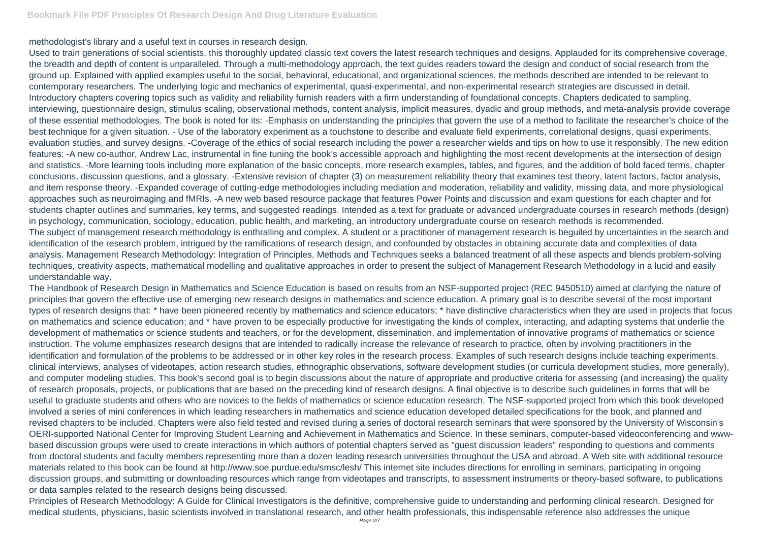methodologist's library and a useful text in courses in research design.

Used to train generations of social scientists, this thoroughly updated classic text covers the latest research techniques and designs. Applauded for its comprehensive coverage, the breadth and depth of content is unparalleled. Through a multi-methodology approach, the text guides readers toward the design and conduct of social research from the ground up. Explained with applied examples useful to the social, behavioral, educational, and organizational sciences, the methods described are intended to be relevant to contemporary researchers. The underlying logic and mechanics of experimental, quasi-experimental, and non-experimental research strategies are discussed in detail. Introductory chapters covering topics such as validity and reliability furnish readers with a firm understanding of foundational concepts. Chapters dedicated to sampling, interviewing, questionnaire design, stimulus scaling, observational methods, content analysis, implicit measures, dyadic and group methods, and meta-analysis provide coverage of these essential methodologies. The book is noted for its: -Emphasis on understanding the principles that govern the use of a method to facilitate the researcher's choice of the best technique for a given situation. - Use of the laboratory experiment as a touchstone to describe and evaluate field experiments, correlational designs, quasi experiments, evaluation studies, and survey designs. -Coverage of the ethics of social research including the power a researcher wields and tips on how to use it responsibly. The new edition features: -A new co-author, Andrew Lac, instrumental in fine tuning the book's accessible approach and highlighting the most recent developments at the intersection of design and statistics. -More learning tools including more explanation of the basic concepts, more research examples, tables, and figures, and the addition of bold faced terms, chapter conclusions, discussion questions, and a glossary. -Extensive revision of chapter (3) on measurement reliability theory that examines test theory, latent factors, factor analysis, and item response theory. -Expanded coverage of cutting-edge methodologies including mediation and moderation, reliability and validity, missing data, and more physiological approaches such as neuroimaging and fMRIs. -A new web based resource package that features Power Points and discussion and exam questions for each chapter and for students chapter outlines and summaries, key terms, and suggested readings. Intended as a text for graduate or advanced undergraduate courses in research methods (design) in psychology, communication, sociology, education, public health, and marketing, an introductory undergraduate course on research methods is recommended. The subject of management research methodology is enthralling and complex. A student or a practitioner of management research is beguiled by uncertainties in the search and identification of the research problem, intrigued by the ramifications of research design, and confounded by obstacles in obtaining accurate data and complexities of data analysis. Management Research Methodology: Integration of Principles, Methods and Techniques seeks a balanced treatment of all these aspects and blends problem-solving techniques, creativity aspects, mathematical modelling and qualitative approaches in order to present the subject of Management Research Methodology in a lucid and easily understandable way.

The Handbook of Research Design in Mathematics and Science Education is based on results from an NSF-supported project (REC 9450510) aimed at clarifying the nature of principles that govern the effective use of emerging new research designs in mathematics and science education. A primary goal is to describe several of the most important types of research designs that: \* have been pioneered recently by mathematics and science educators; \* have distinctive characteristics when they are used in projects that focus on mathematics and science education; and \* have proven to be especially productive for investigating the kinds of complex, interacting, and adapting systems that underlie the development of mathematics or science students and teachers, or for the development, dissemination, and implementation of innovative programs of mathematics or science instruction. The volume emphasizes research designs that are intended to radically increase the relevance of research to practice, often by involving practitioners in the identification and formulation of the problems to be addressed or in other key roles in the research process. Examples of such research designs include teaching experiments, clinical interviews, analyses of videotapes, action research studies, ethnographic observations, software development studies (or curricula development studies, more generally), and computer modeling studies. This book's second goal is to begin discussions about the nature of appropriate and productive criteria for assessing (and increasing) the quality of research proposals, projects, or publications that are based on the preceding kind of research designs. A final objective is to describe such guidelines in forms that will be useful to graduate students and others who are novices to the fields of mathematics or science education research. The NSF-supported project from which this book developed involved a series of mini conferences in which leading researchers in mathematics and science education developed detailed specifications for the book, and planned and revised chapters to be included. Chapters were also field tested and revised during a series of doctoral research seminars that were sponsored by the University of Wisconsin's OERI-supported National Center for Improving Student Learning and Achievement in Mathematics and Science. In these seminars, computer-based videoconferencing and wwwbased discussion groups were used to create interactions in which authors of potential chapters served as "guest discussion leaders" responding to questions and comments from doctoral students and faculty members representing more than a dozen leading research universities throughout the USA and abroad. A Web site with additional resource materials related to this book can be found at http://www.soe.purdue.edu/smsc/lesh/ This internet site includes directions for enrolling in seminars, participating in ongoing discussion groups, and submitting or downloading resources which range from videotapes and transcripts, to assessment instruments or theory-based software, to publications or data samples related to the research designs being discussed.

Principles of Research Methodology: A Guide for Clinical Investigators is the definitive, comprehensive guide to understanding and performing clinical research. Designed for medical students, physicians, basic scientists involved in translational research, and other health professionals, this indispensable reference also addresses the unique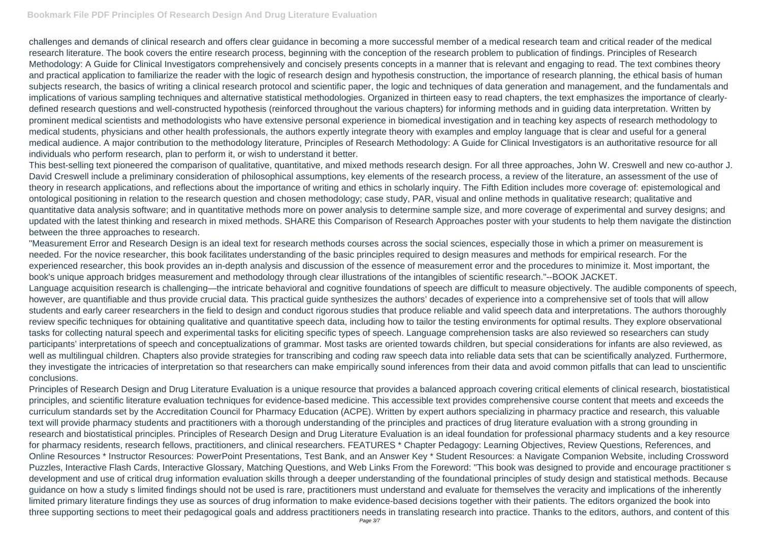challenges and demands of clinical research and offers clear guidance in becoming a more successful member of a medical research team and critical reader of the medical research literature. The book covers the entire research process, beginning with the conception of the research problem to publication of findings. Principles of Research Methodology: A Guide for Clinical Investigators comprehensively and concisely presents concepts in a manner that is relevant and engaging to read. The text combines theory and practical application to familiarize the reader with the logic of research design and hypothesis construction, the importance of research planning, the ethical basis of human subjects research, the basics of writing a clinical research protocol and scientific paper, the logic and techniques of data generation and management, and the fundamentals and implications of various sampling techniques and alternative statistical methodologies. Organized in thirteen easy to read chapters, the text emphasizes the importance of clearlydefined research questions and well-constructed hypothesis (reinforced throughout the various chapters) for informing methods and in guiding data interpretation. Written by prominent medical scientists and methodologists who have extensive personal experience in biomedical investigation and in teaching key aspects of research methodology to medical students, physicians and other health professionals, the authors expertly integrate theory with examples and employ language that is clear and useful for a general medical audience. A major contribution to the methodology literature, Principles of Research Methodology: A Guide for Clinical Investigators is an authoritative resource for all individuals who perform research, plan to perform it, or wish to understand it better.

This best-selling text pioneered the comparison of qualitative, quantitative, and mixed methods research design. For all three approaches, John W. Creswell and new co-author J. David Creswell include a preliminary consideration of philosophical assumptions, key elements of the research process, a review of the literature, an assessment of the use of theory in research applications, and reflections about the importance of writing and ethics in scholarly inquiry. The Fifth Edition includes more coverage of: epistemological and ontological positioning in relation to the research question and chosen methodology; case study, PAR, visual and online methods in qualitative research; qualitative and quantitative data analysis software; and in quantitative methods more on power analysis to determine sample size, and more coverage of experimental and survey designs; and updated with the latest thinking and research in mixed methods. SHARE this Comparison of Research Approaches poster with your students to help them navigate the distinction between the three approaches to research.

"Measurement Error and Research Design is an ideal text for research methods courses across the social sciences, especially those in which a primer on measurement is needed. For the novice researcher, this book facilitates understanding of the basic principles required to design measures and methods for empirical research. For the experienced researcher, this book provides an in-depth analysis and discussion of the essence of measurement error and the procedures to minimize it. Most important, the book's unique approach bridges measurement and methodology through clear illustrations of the intangibles of scientific research."--BOOK JACKET. Language acquisition research is challenging—the intricate behavioral and cognitive foundations of speech are difficult to measure objectively. The audible components of speech, however, are quantifiable and thus provide crucial data. This practical guide synthesizes the authors' decades of experience into a comprehensive set of tools that will allow students and early career researchers in the field to design and conduct rigorous studies that produce reliable and valid speech data and interpretations. The authors thoroughly review specific techniques for obtaining qualitative and quantitative speech data, including how to tailor the testing environments for optimal results. They explore observational tasks for collecting natural speech and experimental tasks for eliciting specific types of speech. Language comprehension tasks are also reviewed so researchers can study participants' interpretations of speech and conceptualizations of grammar. Most tasks are oriented towards children, but special considerations for infants are also reviewed, as well as multilingual children. Chapters also provide strategies for transcribing and coding raw speech data into reliable data sets that can be scientifically analyzed. Furthermore, they investigate the intricacies of interpretation so that researchers can make empirically sound inferences from their data and avoid common pitfalls that can lead to unscientific conclusions.

Principles of Research Design and Drug Literature Evaluation is a unique resource that provides a balanced approach covering critical elements of clinical research, biostatistical principles, and scientific literature evaluation techniques for evidence-based medicine. This accessible text provides comprehensive course content that meets and exceeds the curriculum standards set by the Accreditation Council for Pharmacy Education (ACPE). Written by expert authors specializing in pharmacy practice and research, this valuable text will provide pharmacy students and practitioners with a thorough understanding of the principles and practices of drug literature evaluation with a strong grounding in research and biostatistical principles. Principles of Research Design and Drug Literature Evaluation is an ideal foundation for professional pharmacy students and a key resource for pharmacy residents, research fellows, practitioners, and clinical researchers. FEATURES \* Chapter Pedagogy: Learning Objectives, Review Questions, References, and Online Resources \* Instructor Resources: PowerPoint Presentations, Test Bank, and an Answer Key \* Student Resources: a Navigate Companion Website, including Crossword Puzzles, Interactive Flash Cards, Interactive Glossary, Matching Questions, and Web Links From the Foreword: "This book was designed to provide and encourage practitioner s development and use of critical drug information evaluation skills through a deeper understanding of the foundational principles of study design and statistical methods. Because guidance on how a study s limited findings should not be used is rare, practitioners must understand and evaluate for themselves the veracity and implications of the inherently limited primary literature findings they use as sources of drug information to make evidence-based decisions together with their patients. The editors organized the book into three supporting sections to meet their pedagogical goals and address practitioners needs in translating research into practice. Thanks to the editors, authors, and content of this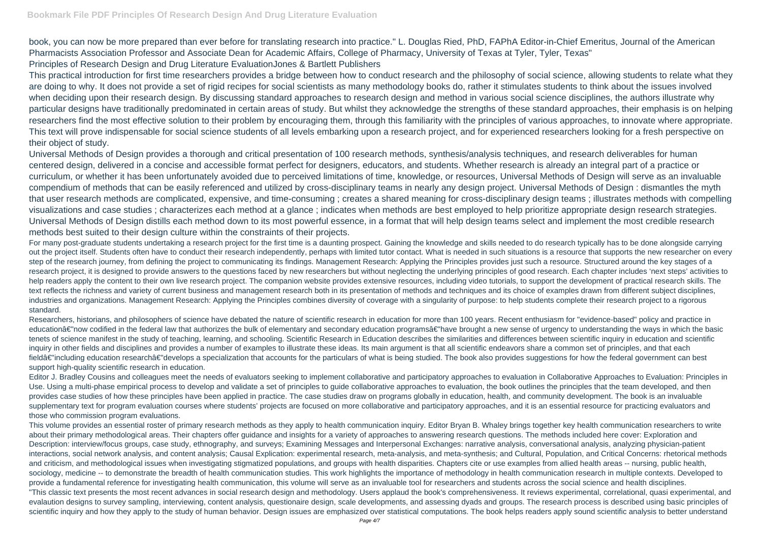book, you can now be more prepared than ever before for translating research into practice." L. Douglas Ried, PhD, FAPhA Editor-in-Chief Emeritus, Journal of the American Pharmacists Association Professor and Associate Dean for Academic Affairs, College of Pharmacy, University of Texas at Tyler, Tyler, Texas" Principles of Research Design and Drug Literature EvaluationJones & Bartlett Publishers

This practical introduction for first time researchers provides a bridge between how to conduct research and the philosophy of social science, allowing students to relate what they are doing to why. It does not provide a set of rigid recipes for social scientists as many methodology books do, rather it stimulates students to think about the issues involved when deciding upon their research design. By discussing standard approaches to research design and method in various social science disciplines, the authors illustrate why particular designs have traditionally predominated in certain areas of study. But whilst they acknowledge the strengths of these standard approaches, their emphasis is on helping researchers find the most effective solution to their problem by encouraging them, through this familiarity with the principles of various approaches, to innovate where appropriate. This text will prove indispensable for social science students of all levels embarking upon a research project, and for experienced researchers looking for a fresh perspective on their object of study.

Universal Methods of Design provides a thorough and critical presentation of 100 research methods, synthesis/analysis techniques, and research deliverables for human centered design, delivered in a concise and accessible format perfect for designers, educators, and students. Whether research is already an integral part of a practice or curriculum, or whether it has been unfortunately avoided due to perceived limitations of time, knowledge, or resources, Universal Methods of Design will serve as an invaluable compendium of methods that can be easily referenced and utilized by cross-disciplinary teams in nearly any design project. Universal Methods of Design : dismantles the myth that user research methods are complicated, expensive, and time-consuming ; creates a shared meaning for cross-disciplinary design teams ; illustrates methods with compelling visualizations and case studies ; characterizes each method at a glance ; indicates when methods are best employed to help prioritize appropriate design research strategies. Universal Methods of Design distills each method down to its most powerful essence, in a format that will help design teams select and implement the most credible research methods best suited to their design culture within the constraints of their projects.

This volume provides an essential roster of primary research methods as they apply to health communication inquiry. Editor Bryan B. Whaley brings together key health communication researchers to write about their primary methodological areas. Their chapters offer guidance and insights for a variety of approaches to answering research questions. The methods included here cover: Exploration and Description: interview/focus groups, case study, ethnography, and surveys; Examining Messages and Interpersonal Exchanges: narrative analysis, conversational analysis, analyzing physician-patient interactions, social network analysis, and content analysis; Causal Explication: experimental research, meta-analysis, and meta-synthesis; and Cultural, Population, and Critical Concerns: rhetorical methods and criticism, and methodological issues when investigating stigmatized populations, and groups with health disparities. Chapters cite or use examples from allied health areas -- nursing, public health, sociology, medicine -- to demonstrate the breadth of health communication studies. This work highlights the importance of methodology in health communication research in multiple contexts. Developed to provide a fundamental reference for investigating health communication, this volume will serve as an invaluable tool for researchers and students across the social science and health disciplines. "This classic text presents the most recent advances in social research design and methodology. Users applaud the book's comprehensiveness. It reviews experimental, correlational, quasi experimental, and evalaution designs to survey sampling, interviewing, content analysis, questionaire design, scale developments, and assessing dyads and groups. The research process is described using basic principles of scientific inquiry and how they apply to the study of human behavior. Design issues are emphasized over statistical computations. The book helps readers apply sound scientific analysis to better understand

For many post-graduate students undertaking a research project for the first time is a daunting prospect. Gaining the knowledge and skills needed to do research typically has to be done alongside carrying out the project itself. Students often have to conduct their research independently, perhaps with limited tutor contact. What is needed in such situations is a resource that supports the new researcher on every step of the research journey, from defining the project to communicating its findings. Management Research: Applying the Principles provides just such a resource. Structured around the key stages of a research project, it is designed to provide answers to the questions faced by new researchers but without neglecting the underlying principles of good research. Each chapter includes 'next steps' activities to help readers apply the content to their own live research project. The companion website provides extensive resources, including video tutorials, to support the development of practical research skills. The text reflects the richness and variety of current business and management research both in its presentation of methods and techniques and its choice of examples drawn from different subject disciplines, industries and organizations. Management Research: Applying the Principles combines diversity of coverage with a singularity of purpose: to help students complete their research project to a rigorous standard.

Researchers, historians, and philosophers of science have debated the nature of scientific research in education for more than 100 years. Recent enthusiasm for "evidence-based" policy and practice in educationâ€"now codified in the federal law that authorizes the bulk of elementary and secondary education programsâ€"have brought a new sense of urgency to understanding the ways in which the basic tenets of science manifest in the study of teaching, learning, and schooling. Scientific Research in Education describes the similarities and differences between scientific inquiry in education and scientific inquiry in other fields and disciplines and provides a number of examples to illustrate these ideas. Its main argument is that all scientific endeavors share a common set of principles, and that each fieldâ€"including education researchâ€"develops a specialization that accounts for the particulars of what is being studied. The book also provides suggestions for how the federal government can best support high-quality scientific research in education.

Editor J. Bradley Cousins and colleagues meet the needs of evaluators seeking to implement collaborative and participatory approaches to evaluation in Collaborative Approaches to Evaluation: Principles in Use. Using a multi-phase empirical process to develop and validate a set of principles to guide collaborative approaches to evaluation, the book outlines the principles that the team developed, and then provides case studies of how these principles have been applied in practice. The case studies draw on programs globally in education, health, and community development. The book is an invaluable supplementary text for program evaluation courses where students' projects are focused on more collaborative and participatory approaches, and it is an essential resource for practicing evaluators and those who commission program evaluations.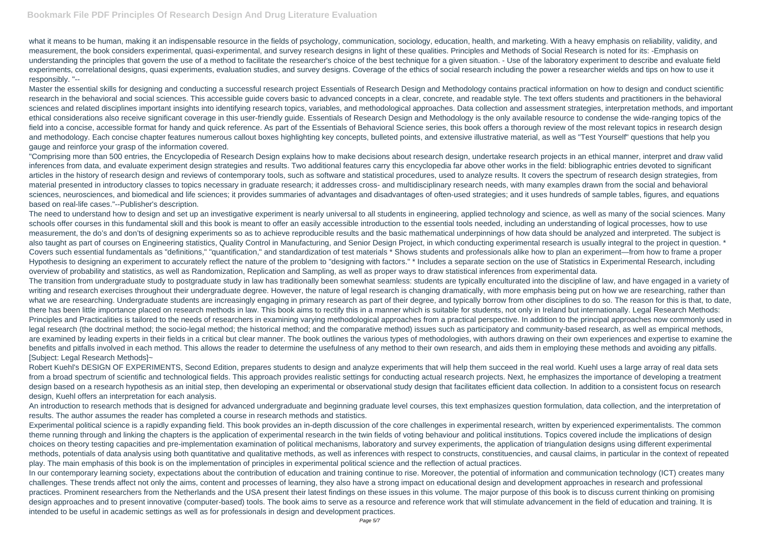what it means to be human, making it an indispensable resource in the fields of psychology, communication, sociology, education, health, and marketing. With a heavy emphasis on reliability, validity, and measurement, the book considers experimental, quasi-experimental, and survey research designs in light of these qualities. Principles and Methods of Social Research is noted for its: -Emphasis on understanding the principles that govern the use of a method to facilitate the researcher's choice of the best technique for a given situation. - Use of the laboratory experiment to describe and evaluate field experiments, correlational designs, quasi experiments, evaluation studies, and survey designs. Coverage of the ethics of social research including the power a researcher wields and tips on how to use it responsibly. "--

Master the essential skills for designing and conducting a successful research project Essentials of Research Design and Methodology contains practical information on how to design and conduct scientific research in the behavioral and social sciences. This accessible guide covers basic to advanced concepts in a clear, concrete, and readable style. The text offers students and practitioners in the behavioral sciences and related disciplines important insights into identifying research topics, variables, and methodological approaches. Data collection and assessment strategies, interpretation methods, and important ethical considerations also receive significant coverage in this user-friendly guide. Essentials of Research Design and Methodology is the only available resource to condense the wide-ranging topics of the field into a concise, accessible format for handy and quick reference. As part of the Essentials of Behavioral Science series, this book offers a thorough review of the most relevant topics in research design and methodology. Each concise chapter features numerous callout boxes highlighting key concepts, bulleted points, and extensive illustrative material, as well as "Test Yourself" questions that help you gauge and reinforce your grasp of the information covered.

"Comprising more than 500 entries, the Encyclopedia of Research Design explains how to make decisions about research design, undertake research projects in an ethical manner, interpret and draw valid inferences from data, and evaluate experiment design strategies and results. Two additional features carry this encyclopedia far above other works in the field: bibliographic entries devoted to significant articles in the history of research design and reviews of contemporary tools, such as software and statistical procedures, used to analyze results. It covers the spectrum of research design strategies, from material presented in introductory classes to topics necessary in graduate research; it addresses cross- and multidisciplinary research needs, with many examples drawn from the social and behavioral sciences, neurosciences, and biomedical and life sciences; it provides summaries of advantages and disadvantages of often-used strategies; and it uses hundreds of sample tables, figures, and equations based on real-life cases."--Publisher's description.

The need to understand how to design and set up an investigative experiment is nearly universal to all students in engineering, applied technology and science, as well as many of the social sciences. Many schools offer courses in this fundamental skill and this book is meant to offer an easily accessible introduction to the essential tools needed, including an understanding of logical processes, how to use measurement, the do's and don'ts of designing experiments so as to achieve reproducible results and the basic mathematical underpinnings of how data should be analyzed and interpreted. The subject is also taught as part of courses on Engineering statistics, Quality Control in Manufacturing, and Senior Design Project, in which conducting experimental research is usually integral to the project in question. \* Covers such essential fundamentals as "definitions," "quantification," and standardization of test materials \* Shows students and professionals alike how to plan an experiment—from how to frame a proper Hypothesis to designing an experiment to accurately reflect the nature of the problem to "designing with factors." \* Includes a separate section on the use of Statistics in Experimental Research, including overview of probability and statistics, as well as Randomization, Replication and Sampling, as well as proper ways to draw statistical inferences from experimental data. The transition from undergraduate study to postgraduate study in law has traditionally been somewhat seamless: students are typically enculturated into the discipline of law, and have engaged in a variety of writing and research exercises throughout their undergraduate degree. However, the nature of legal research is changing dramatically, with more emphasis being put on how we are researching, rather than what we are researching. Undergraduate students are increasingly engaging in primary research as part of their degree, and typically borrow from other disciplines to do so. The reason for this is that, to date, there has been little importance placed on research methods in law. This book aims to rectify this in a manner which is suitable for students, not only in Ireland but internationally. Legal Research Methods: Principles and Practicalities is tailored to the needs of researchers in examining varying methodological approaches from a practical perspective. In addition to the principal approaches now commonly used in legal research (the doctrinal method; the socio-legal method; the historical method; and the comparative method) issues such as participatory and community-based research, as well as empirical methods, are examined by leading experts in their fields in a critical but clear manner. The book outlines the various types of methodologies, with authors drawing on their own experiences and expertise to examine the benefits and pitfalls involved in each method. This allows the reader to determine the usefulness of any method to their own research, and aids them in employing these methods and avoiding any pitfalls. [Subject: Legal Research Methods]~

Robert Kuehl's DESIGN OF EXPERIMENTS, Second Edition, prepares students to design and analyze experiments that will help them succeed in the real world. Kuehl uses a large array of real data sets from a broad spectrum of scientific and technological fields. This approach provides realistic settings for conducting actual research projects. Next, he emphasizes the importance of developing a treatment design based on a research hypothesis as an initial step, then developing an experimental or observational study design that facilitates efficient data collection. In addition to a consistent focus on research design, Kuehl offers an interpretation for each analysis.

An introduction to research methods that is designed for advanced undergraduate and beginning graduate level courses, this text emphasizes question formulation, data collection, and the interpretation of results. The author assumes the reader has completed a course in research methods and statistics.

Experimental political science is a rapidly expanding field. This book provides an in-depth discussion of the core challenges in experimental research, written by experienced experimentalists. The common theme running through and linking the chapters is the application of experimental research in the twin fields of voting behaviour and political institutions. Topics covered include the implications of design choices on theory testing capacities and pre-implementation examination of political mechanisms, laboratory and survey experiments, the application of triangulation designs using different experimental methods, potentials of data analysis using both quantitative and qualitative methods, as well as inferences with respect to constructs, constituencies, and causal claims, in particular in the context of repeated play. The main emphasis of this book is on the implementation of principles in experimental political science and the reflection of actual practices.

In our contemporary learning society, expectations about the contribution of education and training continue to rise. Moreover, the potential of information and communication technology (ICT) creates many challenges. These trends affect not only the aims, content and processes of learning, they also have a strong impact on educational design and development approaches in research and professional practices. Prominent researchers from the Netherlands and the USA present their latest findings on these issues in this volume. The major purpose of this book is to discuss current thinking on promising design approaches and to present innovative (computer-based) tools. The book aims to serve as a resource and reference work that will stimulate advancement in the field of education and training. It is intended to be useful in academic settings as well as for professionals in design and development practices.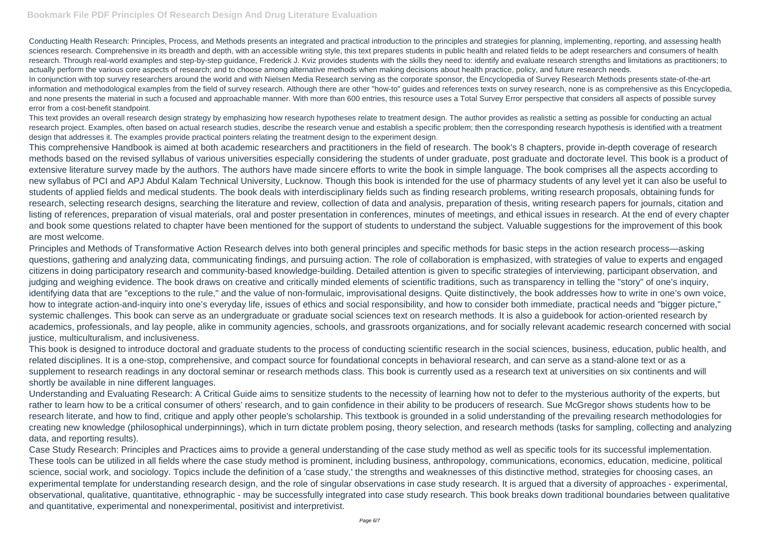Conducting Health Research: Principles, Process, and Methods presents an integrated and practical introduction to the principles and strategies for planning, implementing, reporting, and assessing health sciences research. Comprehensive in its breadth and depth, with an accessible writing style, this text prepares students in public health and related fields to be adept researchers and consumers of health research. Through real-world examples and step-by-step guidance, Frederick J. Kviz provides students with the skills they need to: identify and evaluate research strengths and limitations as practitioners; to actually perform the various core aspects of research; and to choose among alternative methods when making decisions about health practice, policy, and future research needs. In conjunction with top survey researchers around the world and with Nielsen Media Research serving as the corporate sponsor, the Encyclopedia of Survey Research Methods presents state-of-the-art information and methodological examples from the field of survey research. Although there are other "how-to" guides and references texts on survey research, none is as comprehensive as this Encyclopedia, and none presents the material in such a focused and approachable manner. With more than 600 entries, this resource uses a Total Survey Error perspective that considers all aspects of possible survey error from a cost-benefit standpoint.

This text provides an overall research design strategy by emphasizing how research hypotheses relate to treatment design. The author provides as realistic a setting as possible for conducting an actual research project. Examples, often based on actual research studies, describe the research venue and establish a specific problem; then the corresponding research hypothesis is identified with a treatment design that addresses it. The examples provide practical pointers relating the treatment design to the experiment design.

This comprehensive Handbook is aimed at both academic researchers and practitioners in the field of research. The book's 8 chapters, provide in-depth coverage of research methods based on the revised syllabus of various universities especially considering the students of under graduate, post graduate and doctorate level. This book is a product of extensive literature survey made by the authors. The authors have made sincere efforts to write the book in simple language. The book comprises all the aspects according to new syllabus of PCI and APJ Abdul Kalam Technical University, Lucknow. Though this book is intended for the use of pharmacy students of any level yet it can also be useful to students of applied fields and medical students. The book deals with interdisciplinary fields such as finding research problems, writing research proposals, obtaining funds for research, selecting research designs, searching the literature and review, collection of data and analysis, preparation of thesis, writing research papers for journals, citation and listing of references, preparation of visual materials, oral and poster presentation in conferences, minutes of meetings, and ethical issues in research. At the end of every chapter and book some questions related to chapter have been mentioned for the support of students to understand the subject. Valuable suggestions for the improvement of this book are most welcome.

Principles and Methods of Transformative Action Research delves into both general principles and specific methods for basic steps in the action research process—asking questions, gathering and analyzing data, communicating findings, and pursuing action. The role of collaboration is emphasized, with strategies of value to experts and engaged citizens in doing participatory research and community-based knowledge-building. Detailed attention is given to specific strategies of interviewing, participant observation, and judging and weighing evidence. The book draws on creative and critically minded elements of scientific traditions, such as transparency in telling the "story" of one's inquiry, identifying data that are "exceptions to the rule," and the value of non-formulaic, improvisational designs. Quite distinctively, the book addresses how to write in one's own voice, how to integrate action-and-inquiry into one's everyday life, issues of ethics and social responsibility, and how to consider both immediate, practical needs and "bigger picture," systemic challenges. This book can serve as an undergraduate or graduate social sciences text on research methods. It is also a guidebook for action-oriented research by academics, professionals, and lay people, alike in community agencies, schools, and grassroots organizations, and for socially relevant academic research concerned with social justice, multiculturalism, and inclusiveness.

This book is designed to introduce doctoral and graduate students to the process of conducting scientific research in the social sciences, business, education, public health, and related disciplines. It is a one-stop, comprehensive, and compact source for foundational concepts in behavioral research, and can serve as a stand-alone text or as a supplement to research readings in any doctoral seminar or research methods class. This book is currently used as a research text at universities on six continents and will shortly be available in nine different languages.

Understanding and Evaluating Research: A Critical Guide aims to sensitize students to the necessity of learning how not to defer to the mysterious authority of the experts, but rather to learn how to be a critical consumer of others' research, and to gain confidence in their ability to be producers of research. Sue McGregor shows students how to be research literate, and how to find, critique and apply other people's scholarship. This textbook is grounded in a solid understanding of the prevailing research methodologies for creating new knowledge (philosophical underpinnings), which in turn dictate problem posing, theory selection, and research methods (tasks for sampling, collecting and analyzing data, and reporting results).

Case Study Research: Principles and Practices aims to provide a general understanding of the case study method as well as specific tools for its successful implementation. These tools can be utilized in all fields where the case study method is prominent, including business, anthropology, communications, economics, education, medicine, political science, social work, and sociology. Topics include the definition of a 'case study,' the strengths and weaknesses of this distinctive method, strategies for choosing cases, an experimental template for understanding research design, and the role of singular observations in case study research. It is argued that a diversity of approaches - experimental, observational, qualitative, quantitative, ethnographic - may be successfully integrated into case study research. This book breaks down traditional boundaries between qualitative and quantitative, experimental and nonexperimental, positivist and interpretivist.